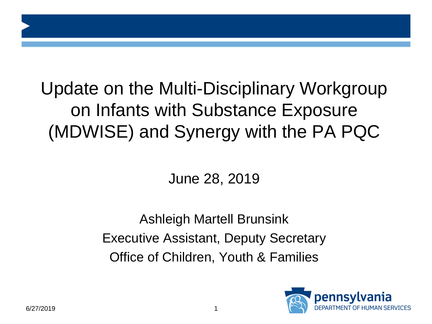# Update on the Multi-Disciplinary Workgroup on Infants with Substance Exposure (MDWISE) and Synergy with the PA PQC

#### June 28, 2019

Ashleigh Martell Brunsink Executive Assistant, Deputy Secretary Office of Children, Youth & Families

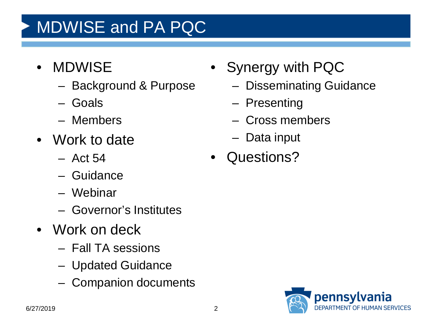# MDWISE and PA PQC

- MDWISE
	- Background & Purpose
	- Goals
	- Members
- Work to date
	- Act 54
	- Guidance
	- Webinar
	- Governor's Institutes
- Work on deck
	- Fall TA sessions
	- Updated Guidance
	- Companion documents
- Synergy with PQC
	- Disseminating Guidance
	- Presenting
	- Cross members
	- Data input
- Questions?

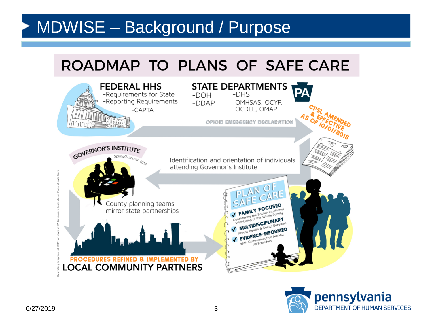#### MDWISE – Background / Purpose

#### ROADMAP TO PLANS OF SAFE CARE



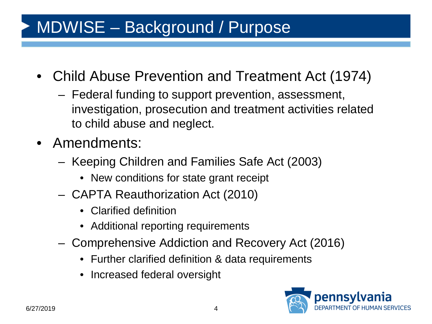## MDWISE – Background / Purpose

- Child Abuse Prevention and Treatment Act (1974)
	- Federal funding to support prevention, assessment, investigation, prosecution and treatment activities related to child abuse and neglect.
- Amendments:
	- Keeping Children and Families Safe Act (2003)
		- New conditions for state grant receipt
	- CAPTA Reauthorization Act (2010)
		- Clarified definition
		- Additional reporting requirements
	- Comprehensive Addiction and Recovery Act (2016)
		- Further clarified definition & data requirements
		- Increased federal oversight

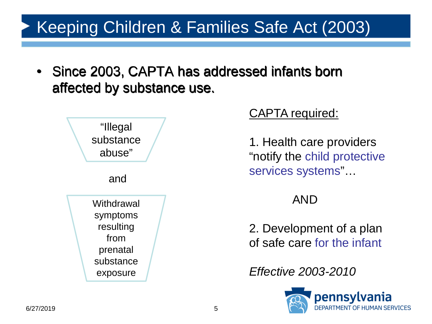### Keeping Children & Families Safe Act (2003)

• Since 2003, CAPTA has addressed infants born affected by substance use.



#### CAPTA required:

1. Health care providers "notify the child protective services systems"…

#### AND

2. Development of a plan of safe care for the infant

*Effective 2003-2010*

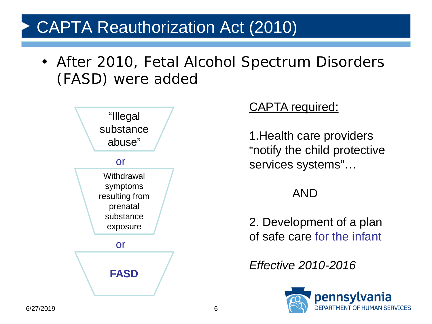#### CAPTA Reauthorization Act (2010)

• After 2010, Fetal Alcohol Spectrum Disorders (FASD) were added



#### CAPTA required:

1.Health care providers "notify the child protective services systems"…

#### AND

2. Development of a plan of safe care for the infant

*Effective 2010-2016*

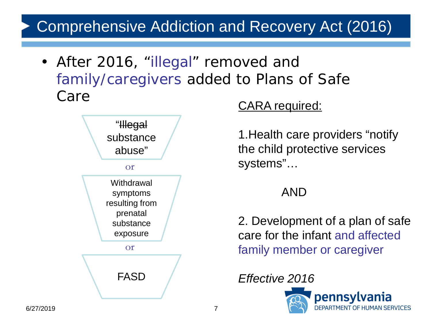#### Comprehensive Addiction and Recovery Act (2016)

• After 2016, "illegal" removed and family/caregivers added to Plans of Safe Care



#### CARA required:

1.Health care providers "notify the child protective services systems"…

#### AND

2. Development of a plan of safe care for the infant and affected family member or caregiver



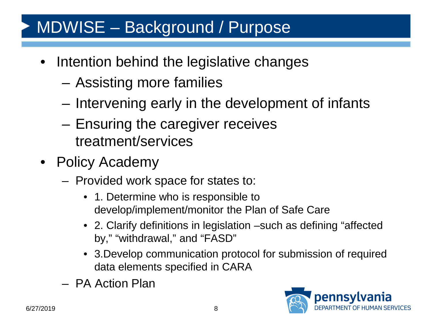### MDWISE – Background / Purpose

- Intention behind the legislative changes
	- Assisting more families
	- Intervening early in the development of infants
	- Ensuring the caregiver receives treatment/services
- Policy Academy
	- Provided work space for states to:
		- 1. Determine who is responsible to develop/implement/monitor the Plan of Safe Care
		- 2. Clarify definitions in legislation –such as defining "affected by," "withdrawal," and "FASD"
		- 3.Develop communication protocol for submission of required data elements specified in CARA
	- PA Action Plan

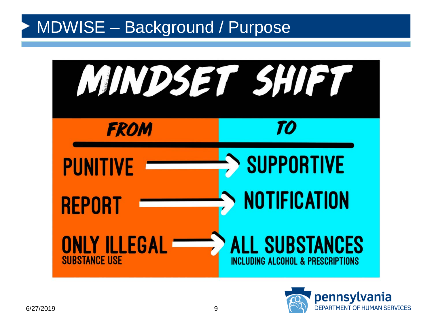#### MDWISE – Background / Purpose



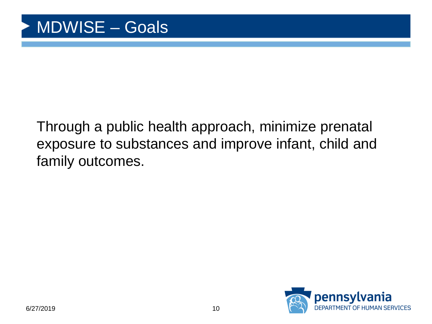#### Through a public health approach, minimize prenatal exposure to substances and improve infant, child and family outcomes.

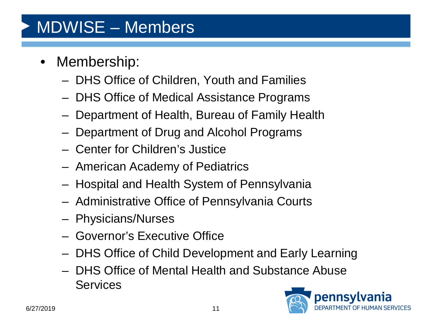### MDWISE – Members

- Membership:
	- DHS Office of Children, Youth and Families
	- DHS Office of Medical Assistance Programs
	- Department of Health, Bureau of Family Health
	- Department of Drug and Alcohol Programs
	- Center for Children's Justice
	- American Academy of Pediatrics
	- Hospital and Health System of Pennsylvania
	- Administrative Office of Pennsylvania Courts
	- Physicians/Nurses
	- Governor's Executive Office
	- DHS Office of Child Development and Early Learning
	- DHS Office of Mental Health and Substance Abuse **Services**

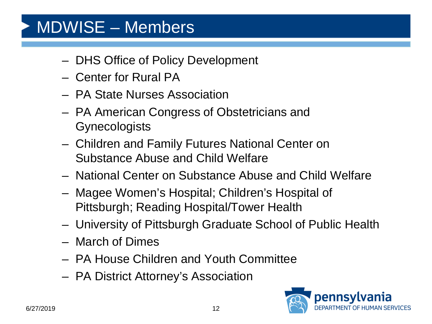### MDWISE – Members

- DHS Office of Policy Development
- Center for Rural PA
- PA State Nurses Association
- PA American Congress of Obstetricians and **Gynecologists**
- Children and Family Futures National Center on Substance Abuse and Child Welfare
- National Center on Substance Abuse and Child Welfare
- Magee Women's Hospital; Children's Hospital of Pittsburgh; Reading Hospital/Tower Health
- University of Pittsburgh Graduate School of Public Health
- March of Dimes
- PA House Children and Youth Committee
- PA District Attorney's Association

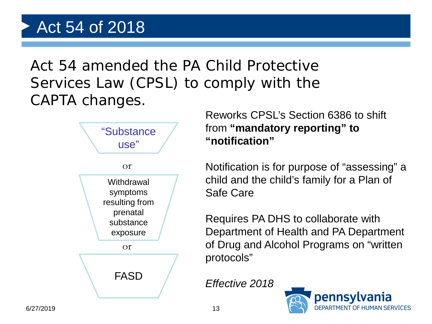Act 54 amended the PA Child Protective Services Law (CPSL) to comply with the CAPTA changes.



Reworks CPSL's Section 6386 to shift from **"mandatory reporting" to "notification"**

Notification is for purpose of "assessing" a child and the child's family for a Plan of Safe Care

Requires PA DHS to collaborate with Department of Health and PA Department of Drug and Alcohol Programs on "written protocols"

*Effective 2018*

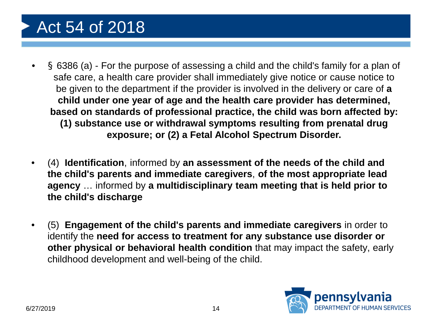### Act 54 of 2018

- § 6386 (a) For the purpose of assessing a child and the child's family for a plan of safe care, a health care provider shall immediately give notice or cause notice to be given to the department if the provider is involved in the delivery or care of **a child under one year of age and the health care provider has determined, based on standards of professional practice, the child was born affected by: (1) substance use or withdrawal symptoms resulting from prenatal drug exposure; or (2) a Fetal Alcohol Spectrum Disorder.**
- (4) **Identification**, informed by **an assessment of the needs of the child and the child's parents and immediate caregivers**, **of the most appropriate lead agency** … informed by **a multidisciplinary team meeting that is held prior to the child's discharge**
- (5) **Engagement of the child's parents and immediate caregivers** in order to identify the **need for access to treatment for any substance use disorder or other physical or behavioral health condition** that may impact the safety, early childhood development and well-being of the child.

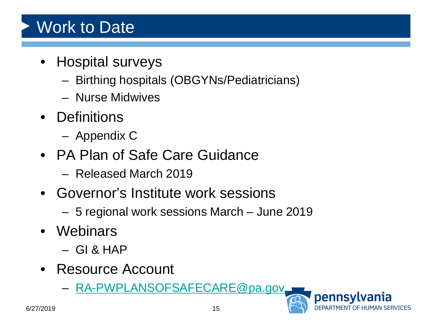### Work to Date

- Hospital surveys
	- Birthing hospitals (OBGYNs/Pediatricians)
	- Nurse Midwives
- Definitions
	- Appendix C
- PA Plan of Safe Care Guidance
	- Released March 2019
- Governor's Institute work sessions
	- 5 regional work sessions March June 2019
- Webinars
	- $-$  GI & HAP
- Resource Account
	- [RA-PWPLANSOFSAFECARE@pa.gov.](mailto:RA-PWPLANSOFSAFECARE@pa.gov)

pennsvlvania

ARTMENT OF HUMAN SERVICES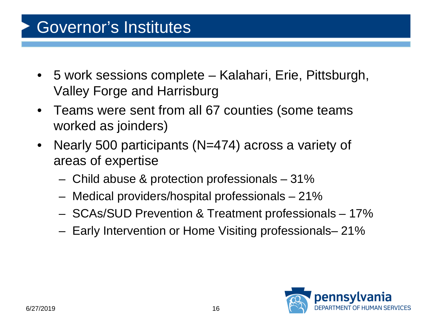#### Governor's Institutes

- 5 work sessions complete Kalahari, Erie, Pittsburgh, Valley Forge and Harrisburg
- Teams were sent from all 67 counties (some teams worked as joinders)
- Nearly 500 participants (N=474) across a variety of areas of expertise
	- Child abuse & protection professionals 31%
	- Medical providers/hospital professionals 21%
	- SCAs/SUD Prevention & Treatment professionals 17%
	- Early Intervention or Home Visiting professionals– 21%

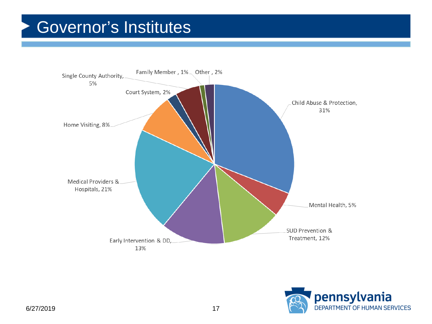#### Governor's Institutes



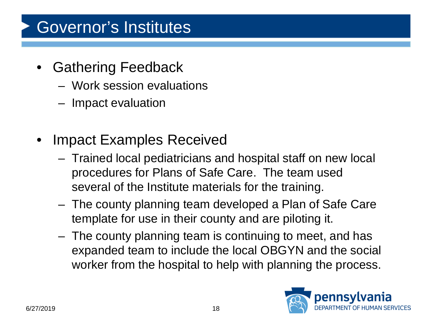### Governor's Institutes

- **Gathering Feedback** 
	- Work session evaluations
	- Impact evaluation
- **Impact Examples Received** 
	- Trained local pediatricians and hospital staff on new local procedures for Plans of Safe Care. The team used several of the Institute materials for the training.
	- The county planning team developed a Plan of Safe Care template for use in their county and are piloting it.
	- The county planning team is continuing to meet, and has expanded team to include the local OBGYN and the social worker from the hospital to help with planning the process.

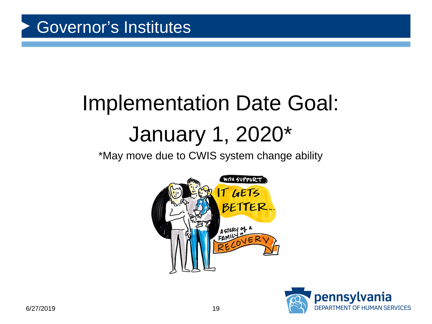# Implementation Date Goal: January 1, 2020\*

\*May move due to CWIS system change ability



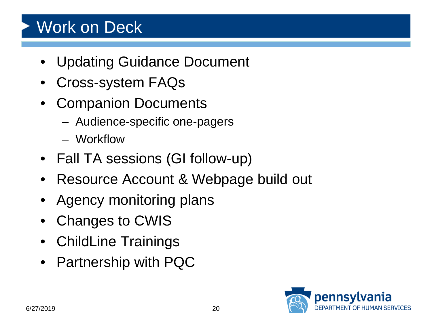### Work on Deck

- Updating Guidance Document
- Cross-system FAQs
- Companion Documents
	- Audience-specific one-pagers
	- Workflow
- Fall TA sessions (GI follow-up)
- Resource Account & Webpage build out
- Agency monitoring plans
- Changes to CWIS
- ChildLine Trainings
- Partnership with PQC

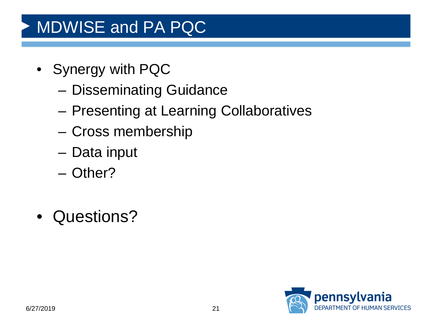## MDWISE and PA PQC

- Synergy with PQC
	- Disseminating Guidance
	- Presenting at Learning Collaboratives
	- Cross membership
	- Data input
	- Other?
- Questions?